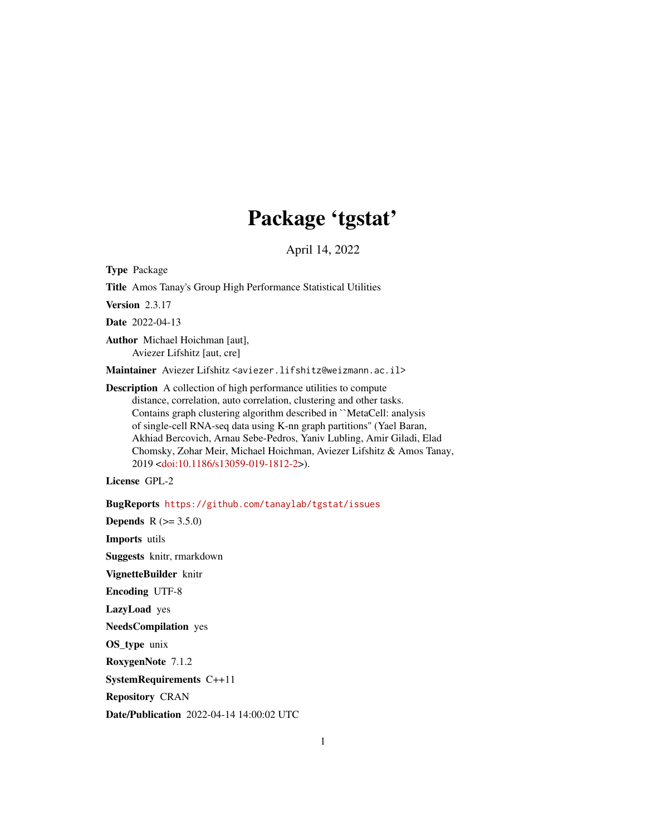# Package 'tgstat'

April 14, 2022

Type Package

Title Amos Tanay's Group High Performance Statistical Utilities

Version 2.3.17

Date 2022-04-13

Author Michael Hoichman [aut], Aviezer Lifshitz [aut, cre]

Maintainer Aviezer Lifshitz <aviezer.lifshitz@weizmann.ac.il>

Description A collection of high performance utilities to compute distance, correlation, auto correlation, clustering and other tasks. Contains graph clustering algorithm described in ``MetaCell: analysis of single-cell RNA-seq data using K-nn graph partitions'' (Yael Baran, Akhiad Bercovich, Arnau Sebe-Pedros, Yaniv Lubling, Amir Giladi, Elad Chomsky, Zohar Meir, Michael Hoichman, Aviezer Lifshitz & Amos Tanay, 2019 [<doi:10.1186/s13059-019-1812-2>](https://doi.org/10.1186/s13059-019-1812-2)).

License GPL-2

BugReports <https://github.com/tanaylab/tgstat/issues>

**Depends** R  $(>= 3.5.0)$ Imports utils Suggests knitr, rmarkdown VignetteBuilder knitr Encoding UTF-8 LazyLoad yes NeedsCompilation yes OS\_type unix RoxygenNote 7.1.2 SystemRequirements C++11 Repository CRAN Date/Publication 2022-04-14 14:00:02 UTC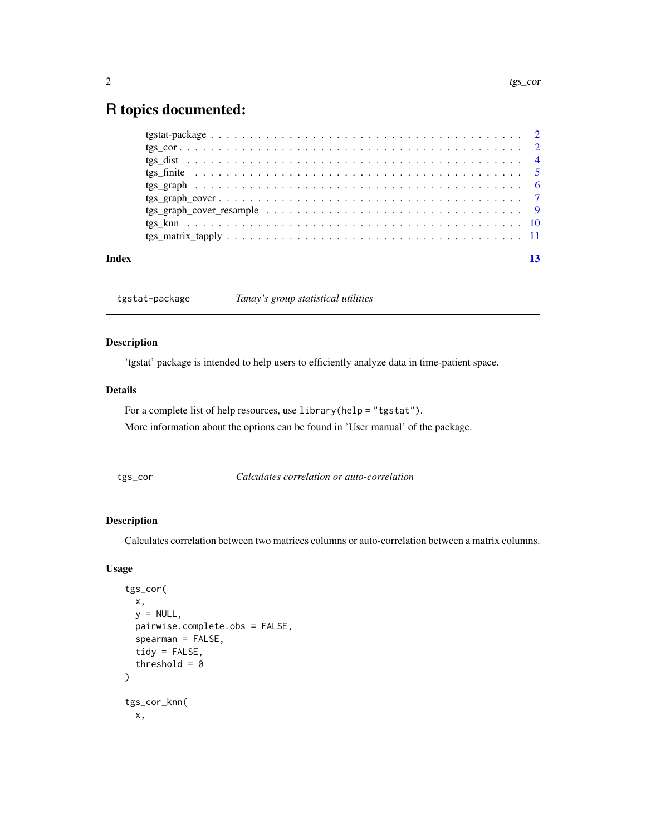# <span id="page-1-0"></span>R topics documented:

| Index |  |
|-------|--|

tgstat-package *Tanay's group statistical utilities*

# Description

'tgstat' package is intended to help users to efficiently analyze data in time-patient space.

# Details

For a complete list of help resources, use library(help = "tgstat").

More information about the options can be found in 'User manual' of the package.

tgs\_cor *Calculates correlation or auto-correlation*

# Description

Calculates correlation between two matrices columns or auto-correlation between a matrix columns.

# Usage

```
tgs_cor(
  x,
 y = NULL,pairwise.complete.obs = FALSE,
  spearman = FALSE,
  tidy = FALSE,
  threshold = \theta)
tgs_cor_knn(
 x,
```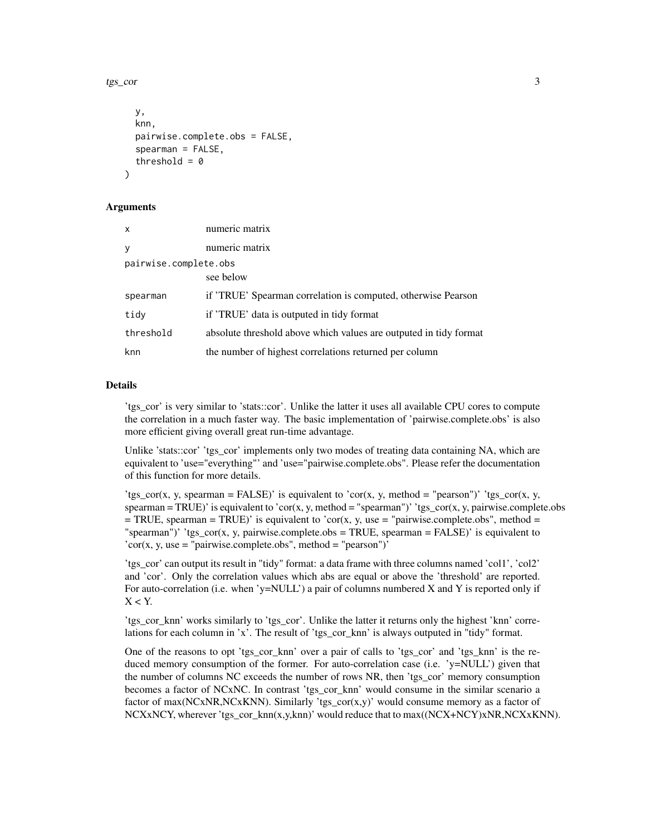tgs\_cor 3

```
y,
  knn,
 pairwise.complete.obs = FALSE,
  spearman = FALSE,
  threshold = 0)
```
# Arguments

| $\mathsf{x}$          | numeric matrix                                                    |
|-----------------------|-------------------------------------------------------------------|
| y                     | numeric matrix                                                    |
| pairwise.complete.obs |                                                                   |
|                       | see below                                                         |
| spearman              | if 'TRUE' Spearman correlation is computed, otherwise Pearson     |
| tidy                  | if 'TRUE' data is outputed in tidy format                         |
| threshold             | absolute threshold above which values are outputed in tidy format |
| knn                   | the number of highest correlations returned per column            |

# Details

'tgs\_cor' is very similar to 'stats::cor'. Unlike the latter it uses all available CPU cores to compute the correlation in a much faster way. The basic implementation of 'pairwise.complete.obs' is also more efficient giving overall great run-time advantage.

Unlike 'stats::cor' 'tgs\_cor' implements only two modes of treating data containing NA, which are equivalent to 'use="everything"' and 'use="pairwise.complete.obs". Please refer the documentation of this function for more details.

'tgs\_cor(x, y, spearman = FALSE)' is equivalent to 'cor(x, y, method = "pearson")' 'tgs\_cor(x, y,  $spearman = TRUE$ )' is equivalent to 'cor(x, y, method = "spearman")' 'tgs\_cor(x, y, pairwise.complete.obs  $=$  TRUE, spearman = TRUE)' is equivalent to 'cor(x, y, use = "pairwise.complete.obs", method = "spearman")'  $i$ gs\_cor(x, y, pairwise.complete.obs = TRUE, spearman = FALSE)' is equivalent to  $'cor(x, y, use = "pairwise.compile.e.obs", method = "pearson")'$ 

'tgs\_cor' can output its result in "tidy" format: a data frame with three columns named 'col1', 'col2' and 'cor'. Only the correlation values which abs are equal or above the 'threshold' are reported. For auto-correlation (i.e. when 'y=NULL') a pair of columns numbered X and Y is reported only if  $X < Y$ .

'tgs\_cor\_knn' works similarly to 'tgs\_cor'. Unlike the latter it returns only the highest 'knn' correlations for each column in 'x'. The result of 'tgs\_cor\_knn' is always outputed in "tidy" format.

One of the reasons to opt 'tgs cor knn' over a pair of calls to 'tgs cor' and 'tgs knn' is the reduced memory consumption of the former. For auto-correlation case (i.e. 'y=NULL') given that the number of columns NC exceeds the number of rows NR, then 'tgs\_cor' memory consumption becomes a factor of NCxNC. In contrast 'tgs\_cor\_knn' would consume in the similar scenario a factor of max(NCxNR,NCxKNN). Similarly 'tgs\_cor(x,y)' would consume memory as a factor of NCXxNCY, wherever 'tgs\_cor\_knn(x,y,knn)' would reduce that to max((NCX+NCY)xNR,NCXxKNN).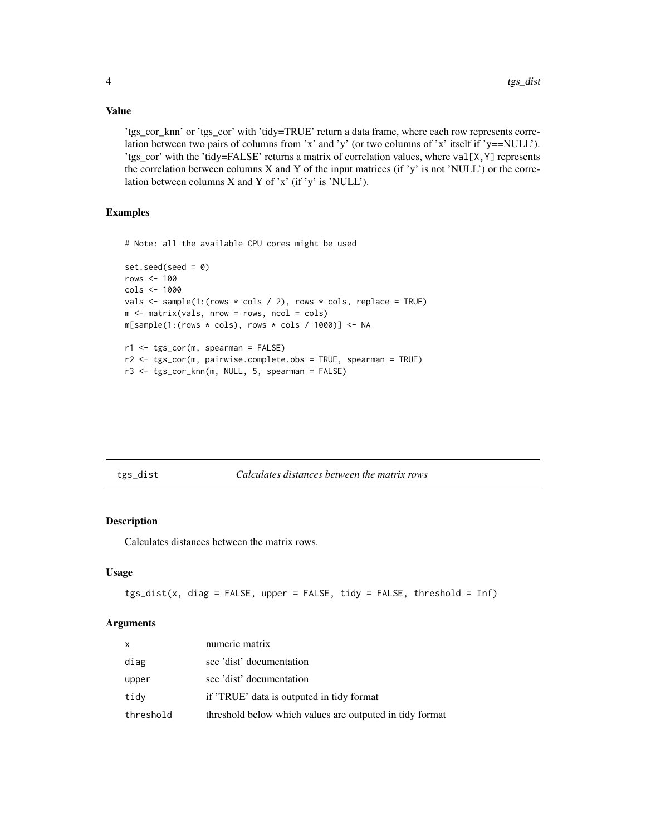# Value

'tgs\_cor\_knn' or 'tgs\_cor' with 'tidy=TRUE' return a data frame, where each row represents correlation between two pairs of columns from 'x' and 'y' (or two columns of 'x' itself if 'y==NULL'). 'tgs\_cor' with the 'tidy=FALSE' returns a matrix of correlation values, where val[X,Y] represents the correlation between columns  $X$  and  $Y$  of the input matrices (if 'y' is not 'NULL') or the correlation between columns  $X$  and  $Y$  of 'x' (if 'y' is 'NULL').

# Examples

# Note: all the available CPU cores might be used

```
set.seed(seed = 0)
rows <- 100
cols <- 1000
vals \le sample(1:(rows * cols / 2), rows * cols, replace = TRUE)
m <- matrix(vals, nrow = rows, ncol = cols)
m[sample(1:(rows * coils), rows * coils / 1000)] <- NA
r1 \leftarrow ts\_cor(m, searman = FALSE)r2 <- tgs_cor(m, pairwise.complete.obs = TRUE, spearman = TRUE)
r3 <- tgs_cor_knn(m, NULL, 5, spearman = FALSE)
```

| tgs_ | dıst |
|------|------|
|      |      |
|      |      |

 $Calculates distances between the matrix rows$ 

# Description

Calculates distances between the matrix rows.

#### Usage

```
tgs_dist(x, diag = FALSE, upper = FALSE, tidy = FALSE, threshold = Inf)
```
#### Arguments

| x         | numeric matrix                                           |
|-----------|----------------------------------------------------------|
| diag      | see 'dist' documentation                                 |
| upper     | see 'dist' documentation                                 |
| tidy      | if 'TRUE' data is outputed in tidy format                |
| threshold | threshold below which values are outputed in tidy format |

<span id="page-3-0"></span>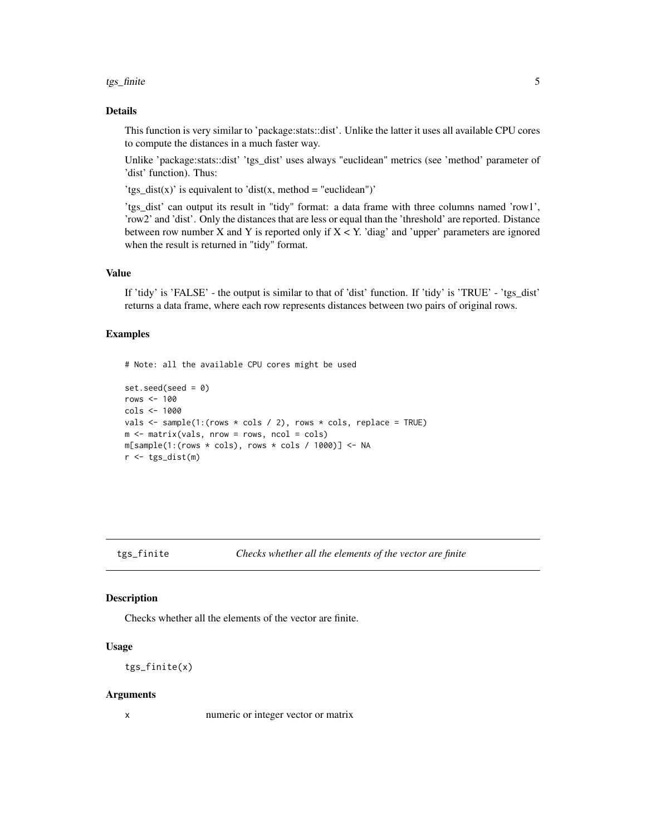#### <span id="page-4-0"></span>tgs\_finite 5

# Details

This function is very similar to 'package:stats::dist'. Unlike the latter it uses all available CPU cores to compute the distances in a much faster way.

Unlike 'package:stats::dist' 'tgs\_dist' uses always "euclidean" metrics (see 'method' parameter of 'dist' function). Thus:

'tgs\_dist(x)' is equivalent to 'dist(x, method = "euclidean")'

'tgs\_dist' can output its result in "tidy" format: a data frame with three columns named 'row1', 'row2' and 'dist'. Only the distances that are less or equal than the 'threshold' are reported. Distance between row number  $X$  and  $Y$  is reported only if  $X < Y$ . 'diag' and 'upper' parameters are ignored when the result is returned in "tidy" format.

# Value

If 'tidy' is 'FALSE' - the output is similar to that of 'dist' function. If 'tidy' is 'TRUE' - 'tgs\_dist' returns a data frame, where each row represents distances between two pairs of original rows.

# Examples

# Note: all the available CPU cores might be used

```
set.seed(seed = 0)
rows \leq -100cols <- 1000
vals \le sample(1:(rows \star cols / 2), rows \star cols, replace = TRUE)
m \leftarrow matrix(vals, nrow = rows, ncol = cols)m[sample(1:(rows * cols), rows * cols / 1000)] <- NA
r <- tgs_dist(m)
```
# Description

Checks whether all the elements of the vector are finite.

#### Usage

tgs\_finite(x)

#### Arguments

x numeric or integer vector or matrix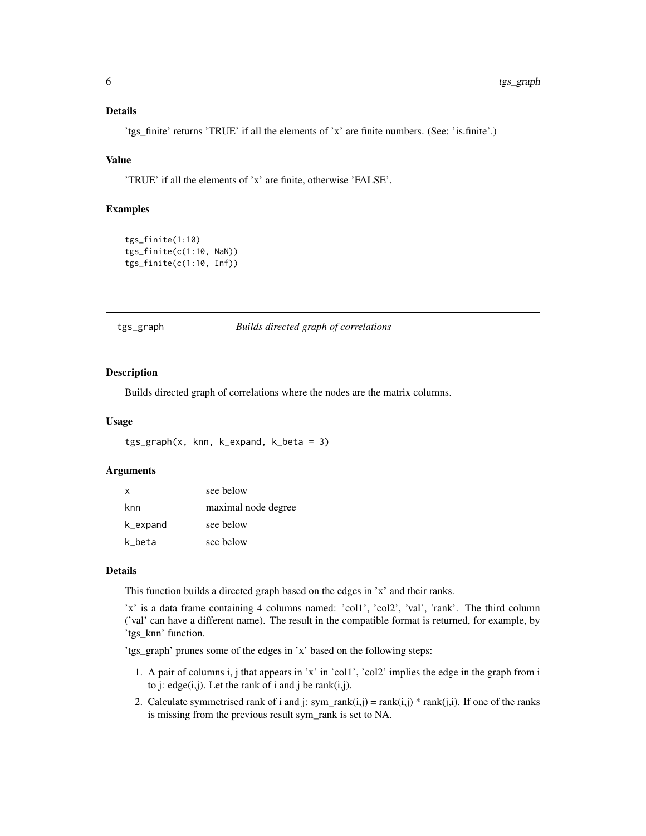# <span id="page-5-0"></span>Details

'tgs\_finite' returns 'TRUE' if all the elements of 'x' are finite numbers. (See: 'is.finite'.)

# Value

'TRUE' if all the elements of 'x' are finite, otherwise 'FALSE'.

### Examples

```
tgs_finite(1:10)
tgs_finite(c(1:10, NaN))
tgs_finite(c(1:10, Inf))
```
<span id="page-5-1"></span>

#### tgs\_graph *Builds directed graph of correlations*

#### Description

Builds directed graph of correlations where the nodes are the matrix columns.

#### Usage

```
tgs\_graph(x, knn, k\_expand, k\_beta = 3)
```
# Arguments

| $\mathsf{x}$ | see below           |
|--------------|---------------------|
| knn          | maximal node degree |
| k_expand     | see below           |
| k beta       | see below           |

#### Details

This function builds a directed graph based on the edges in 'x' and their ranks.

'x' is a data frame containing 4 columns named: 'col1', 'col2', 'val', 'rank'. The third column ('val' can have a different name). The result in the compatible format is returned, for example, by 'tgs\_knn' function.

'tgs\_graph' prunes some of the edges in 'x' based on the following steps:

- 1. A pair of columns i, j that appears in 'x' in 'col1', 'col2' implies the edge in the graph from i to j: edge $(i,j)$ . Let the rank of i and j be rank $(i,j)$ .
- 2. Calculate symmetrised rank of i and j:  $sym\_rank(i,j) = rank(i,j) * rank(j,i)$ . If one of the ranks is missing from the previous result sym\_rank is set to NA.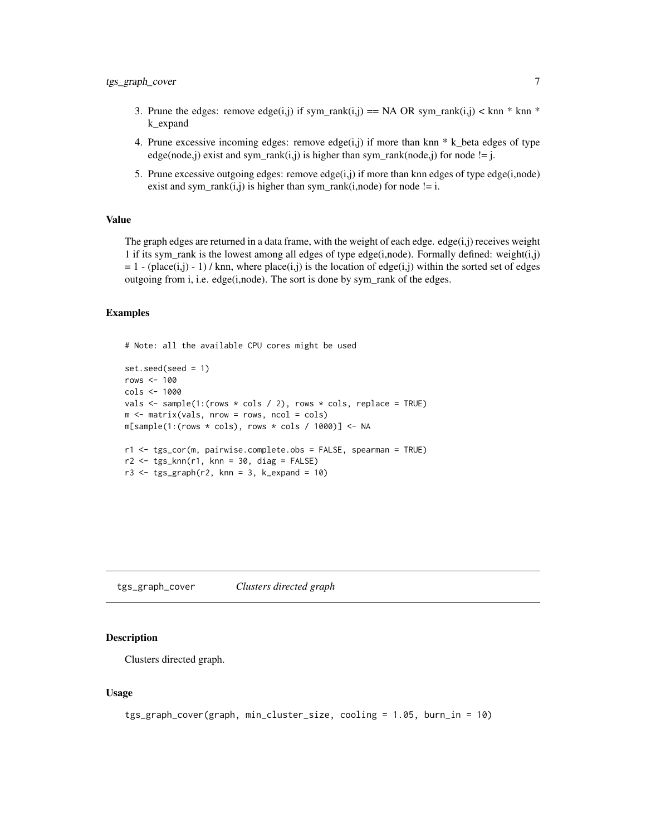- <span id="page-6-0"></span>3. Prune the edges: remove edge(i,j) if sym\_rank(i,j) == NA OR sym\_rank(i,j) < knn \* knn \* k\_expand
- 4. Prune excessive incoming edges: remove edge(i,j) if more than knn  $*$  k\_beta edges of type edge(node,j) exist and sym\_rank(i,j) is higher than sym\_rank(node,j) for node != j.
- 5. Prune excessive outgoing edges: remove edge $(i,j)$  if more than knn edges of type edge $(i,node)$ exist and sym\_rank $(i,j)$  is higher than sym\_rank $(i,node)$  for node != i.

### Value

The graph edges are returned in a data frame, with the weight of each edge. edge $(i,j)$  receives weight 1 if its sym\_rank is the lowest among all edges of type edge(i,node). Formally defined: weight(i,j)  $= 1$  - (place(i,j) - 1) / knn, where place(i,j) is the location of edge(i,j) within the sorted set of edges outgoing from i, i.e. edge(i,node). The sort is done by sym\_rank of the edges.

#### Examples

```
# Note: all the available CPU cores might be used
```

```
set.seed(seed = 1)
rows \leq -100cols <- 1000
vals \leq sample(1:(rows \star cols / 2), rows \star cols, replace = TRUE)
m \le - matrix(vals, nrow = rows, ncol = cols)
m[sample(1:(rows * coils), rows * coils / 1000)] <- NA
r1 <- tgs_cor(m, pairwise.complete.obs = FALSE, spearman = TRUE)
r2 \leq - tgs_knn(r1, knn = 30, diag = FALSE)
r3 \leq tgs\_graph(r2, knn = 3, k\_expand = 10)
```
tgs\_graph\_cover *Clusters directed graph*

#### Description

Clusters directed graph.

#### Usage

```
tgs_graph_cover(graph, min_cluster_size, cooling = 1.05, burn_in = 10)
```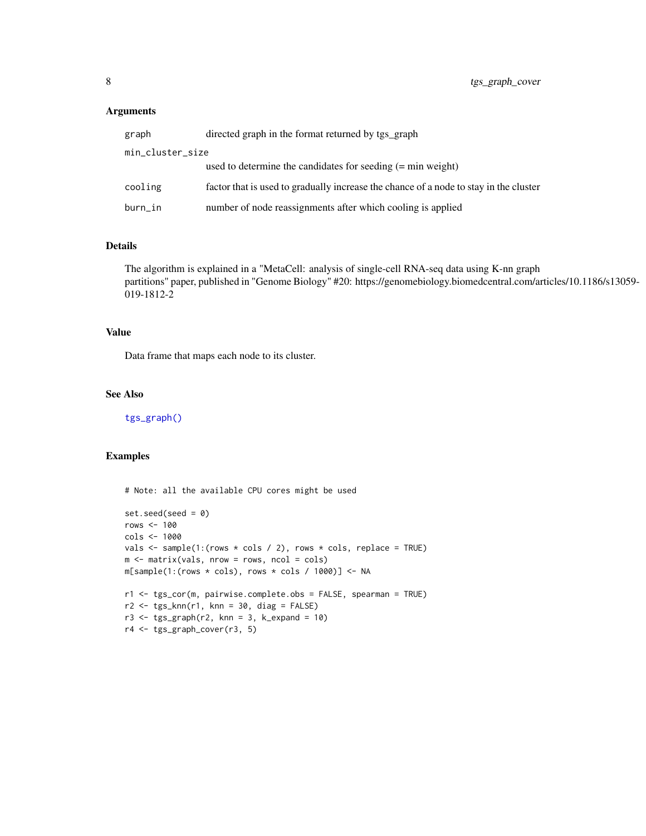# <span id="page-7-0"></span>Arguments

| graph            | directed graph in the format returned by tgs_graph                                    |
|------------------|---------------------------------------------------------------------------------------|
| min_cluster_size |                                                                                       |
|                  | used to determine the candidates for seeding $(=\min$ weight)                         |
| cooling          | factor that is used to gradually increase the chance of a node to stay in the cluster |
| burn_in          | number of node reassignments after which cooling is applied                           |

# Details

The algorithm is explained in a "MetaCell: analysis of single-cell RNA-seq data using K-nn graph partitions" paper, published in "Genome Biology" #20: https://genomebiology.biomedcentral.com/articles/10.1186/s13059- 019-1812-2

# Value

Data frame that maps each node to its cluster.

# See Also

[tgs\\_graph\(\)](#page-5-1)

# Examples

# Note: all the available CPU cores might be used

```
set.seed(seed = 0)
rows \leq -100cols <- 1000
vals \leq sample(1:(rows \star cols / 2), rows \star cols, replace = TRUE)
m \le - matrix(vals, nrow = rows, ncol = cols)
m[sample(1:(rows * coils), rows * coils / 1000)] <- NA
r1 <- tgs_cor(m, pairwise.complete.obs = FALSE, spearman = TRUE)
r2 <- tgs_knn(r1, knn = 30, diag = FALSE)
r3 \leq - tgs_graph(r2, knn = 3, k_expand = 10)
r4 <- tgs_graph_cover(r3, 5)
```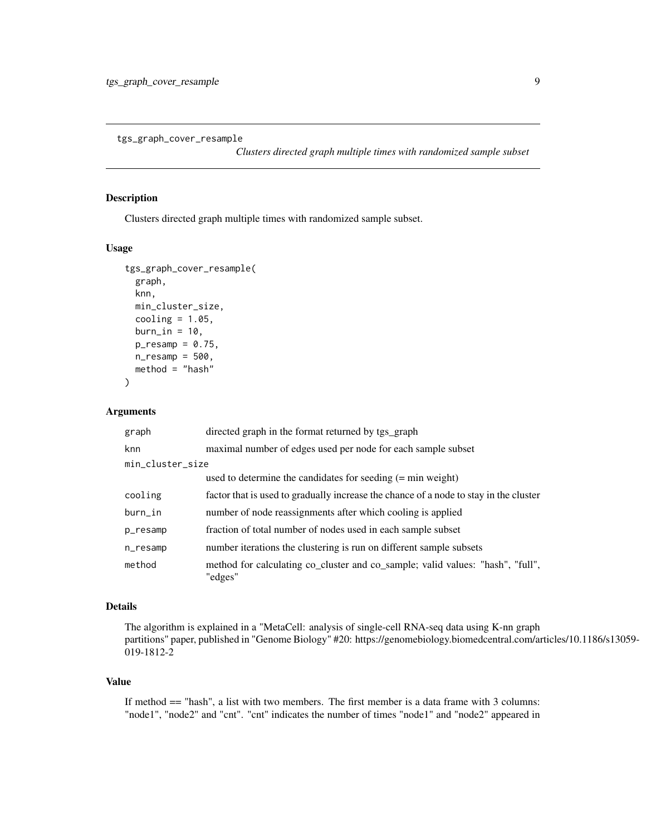<span id="page-8-0"></span>tgs\_graph\_cover\_resample

*Clusters directed graph multiple times with randomized sample subset*

# Description

Clusters directed graph multiple times with randomized sample subset.

### Usage

```
tgs_graph_cover_resample(
  graph,
 knn,
 min_cluster_size,
 cooling = 1.05,
 burn_in = 10,
 p_{resamp} = 0.75,
 n_{resamp} = 500,
 method = "hash")
```
# Arguments

| graph            | directed graph in the format returned by tgs_graph                                        |
|------------------|-------------------------------------------------------------------------------------------|
| knn              | maximal number of edges used per node for each sample subset                              |
| min_cluster_size |                                                                                           |
|                  | used to determine the candidates for seeding $(=\min$ weight)                             |
| cooling          | factor that is used to gradually increase the chance of a node to stay in the cluster     |
| burn_in          | number of node reassignments after which cooling is applied                               |
| p_resamp         | fraction of total number of nodes used in each sample subset                              |
| n_resamp         | number iterations the clustering is run on different sample subsets                       |
| method           | method for calculating co_cluster and co_sample; valid values: "hash", "full",<br>"edges" |

### Details

The algorithm is explained in a "MetaCell: analysis of single-cell RNA-seq data using K-nn graph partitions" paper, published in "Genome Biology" #20: https://genomebiology.biomedcentral.com/articles/10.1186/s13059- 019-1812-2

#### Value

If method  $==$  "hash", a list with two members. The first member is a data frame with 3 columns: "node1", "node2" and "cnt". "cnt" indicates the number of times "node1" and "node2" appeared in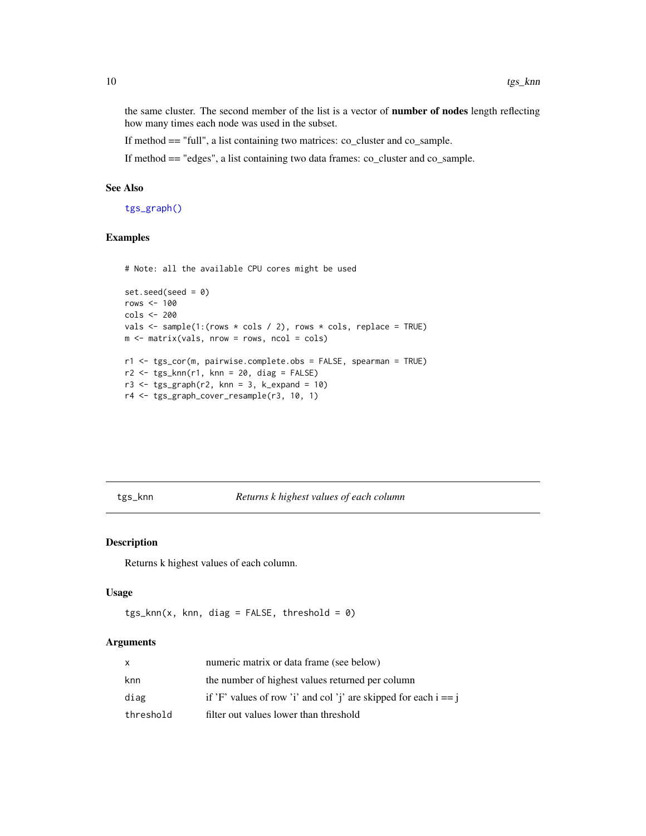the same cluster. The second member of the list is a vector of number of nodes length reflecting how many times each node was used in the subset.

If method == "full", a list containing two matrices: co\_cluster and co\_sample.

If method == "edges", a list containing two data frames: co\_cluster and co\_sample.

# See Also

[tgs\\_graph\(\)](#page-5-1)

# Examples

# Note: all the available CPU cores might be used

```
set.seed(seed = 0)rows <-100cols <- 200
vals \leq sample(1:(rows \star cols / 2), rows \star cols, replace = TRUE)
m \le - matrix(vals, nrow = rows, ncol = cols)
r1 <- tgs_cor(m, pairwise.complete.obs = FALSE, spearman = TRUE)
r2 \leq - tgs_knn(r1, knn = 20, diag = FALSE)
r3 \leq tgs\_graph(r2, knn = 3, k\_expand = 10)r4 <- tgs_graph_cover_resample(r3, 10, 1)
```
### tgs\_knn *Returns k highest values of each column*

#### Description

Returns k highest values of each column.

#### Usage

```
tgs_knn(x, knn, diag = FALSE, threshold = 0)
```
# Arguments

| X         | numeric matrix or data frame (see below)                           |
|-----------|--------------------------------------------------------------------|
| knn       | the number of highest values returned per column                   |
| diag      | if 'F' values of row 'i' and col 'j' are skipped for each $i == j$ |
| threshold | filter out values lower than threshold                             |

<span id="page-9-0"></span>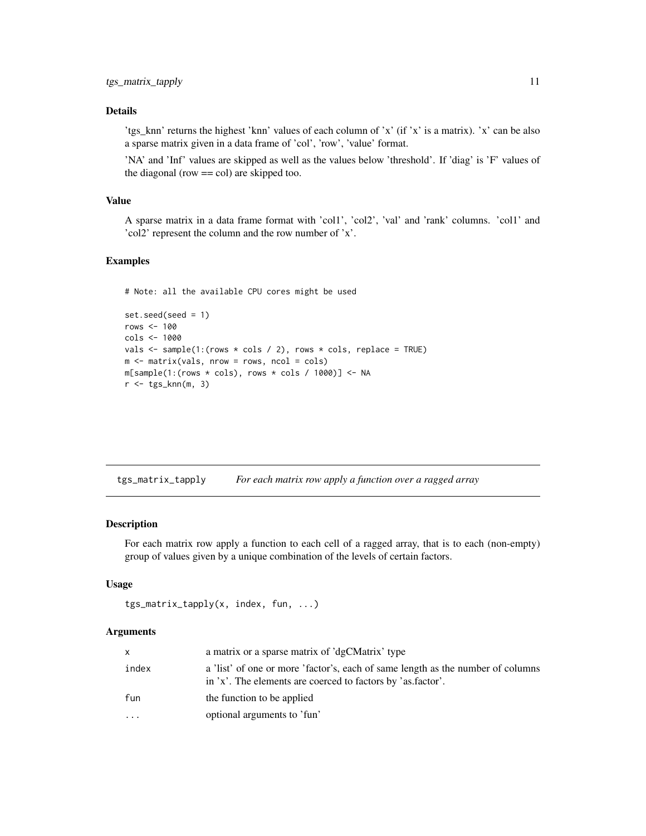# <span id="page-10-0"></span>Details

'tgs\_knn' returns the highest 'knn' values of each column of 'x' (if 'x' is a matrix). 'x' can be also a sparse matrix given in a data frame of 'col', 'row', 'value' format.

'NA' and 'Inf' values are skipped as well as the values below 'threshold'. If 'diag' is 'F' values of the diagonal (row == col) are skipped too.

#### Value

A sparse matrix in a data frame format with 'col1', 'col2', 'val' and 'rank' columns. 'col1' and 'col2' represent the column and the row number of 'x'.

# Examples

# Note: all the available CPU cores might be used

```
set.seed(seed = 1)
rows <- 100
cols <- 1000
vals \leq sample(1:(rows \star cols / 2), rows \star cols, replace = TRUE)
m \leftarrow matrix(vals, nrow = rows, ncol = cols)m[sample(1:(rows * coils), rows * coils / 1000)] <- NA
r < - tgs_knn(m, 3)
```
tgs\_matrix\_tapply *For each matrix row apply a function over a ragged array*

#### Description

For each matrix row apply a function to each cell of a ragged array, that is to each (non-empty) group of values given by a unique combination of the levels of certain factors.

#### Usage

```
tgs_matrix_tapply(x, index, fun, ...)
```
#### Arguments

| X        | a matrix or a sparse matrix of 'dgCMatrix' type                                                                                                |
|----------|------------------------------------------------------------------------------------------------------------------------------------------------|
| index    | a 'list' of one or more 'factor's, each of same length as the number of columns<br>in 'x'. The elements are coerced to factors by 'as factor'. |
| fun      | the function to be applied                                                                                                                     |
| $\cdots$ | optional arguments to 'fun'                                                                                                                    |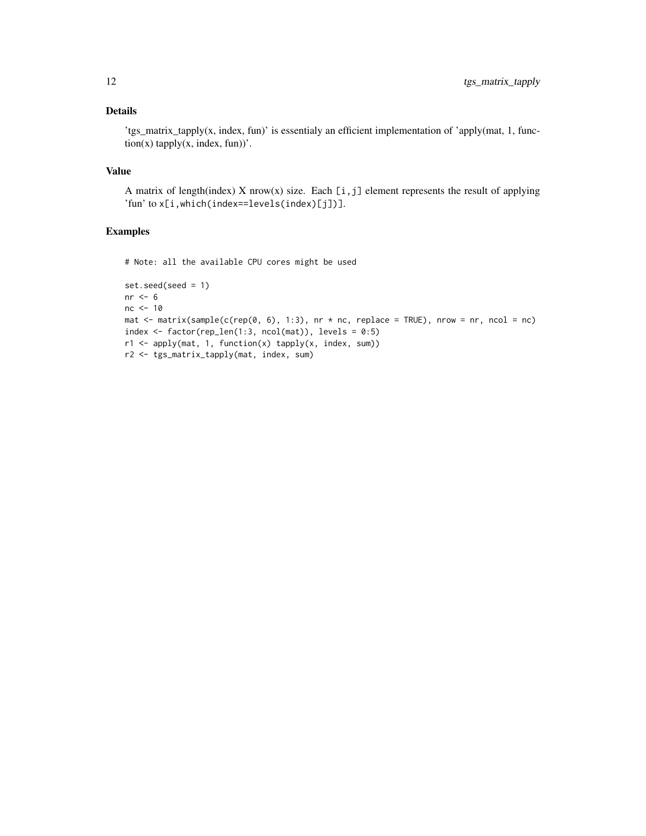# Details

'tgs\_matrix\_tapply(x, index, fun)' is essentialy an efficient implementation of 'apply(mat, 1, func $tion(x)$  tapply $(x, index, fun)$ .

# Value

A matrix of length(index) X nrow(x) size. Each  $[i, j]$  element represents the result of applying 'fun' to x[i,which(index==levels(index)[j])].

# Examples

# Note: all the available CPU cores might be used

```
set.seed(seed = 1)
nr <- 6
nc <- 10
mat \le matrix(sample(c(rep(0, 6), 1:3), nr \star nc, replace = TRUE), nrow = nr, ncol = nc)
index \le factor(rep_len(1:3, ncol(mat)), levels = 0:5)
r1 <- apply(mat, 1, function(x) tapply(x, index, sum))
r2 <- tgs_matrix_tapply(mat, index, sum)
```